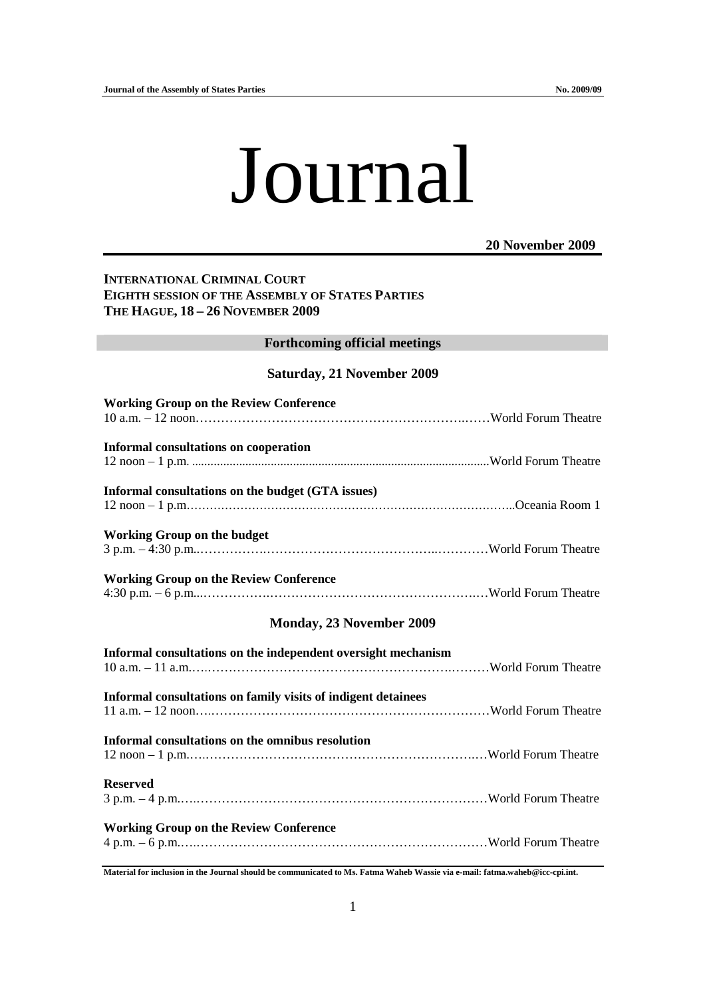# Journal

#### **20 November 2009**

# **INTERNATIONAL CRIMINAL COURT EIGHTH SESSION OF THE ASSEMBLY OF STATES PARTIES THE HAGUE, 18 – 26 NOVEMBER 2009**

#### **Forthcoming official meetings**

### **Saturday, 21 November 2009**

| <b>Working Group on the Review Conference</b>                 |  |
|---------------------------------------------------------------|--|
|                                                               |  |
| <b>Informal consultations on cooperation</b>                  |  |
|                                                               |  |
| Informal consultations on the budget (GTA issues)             |  |
|                                                               |  |
| <b>Working Group on the budget</b>                            |  |
|                                                               |  |
| <b>Working Group on the Review Conference</b>                 |  |
|                                                               |  |
| <b>Monday, 23 November 2009</b>                               |  |
| Informal consultations on the independent oversight mechanism |  |
|                                                               |  |
| Informal consultations on family visits of indigent detainees |  |
|                                                               |  |
| Informal consultations on the omnibus resolution              |  |
|                                                               |  |
| <b>Reserved</b>                                               |  |
|                                                               |  |
| <b>Working Group on the Review Conference</b>                 |  |
|                                                               |  |

**Material for inclusion in the Journal should be communicated to Ms. Fatma Waheb Wassie via e-mail: fatma.waheb@icc-cpi.int.**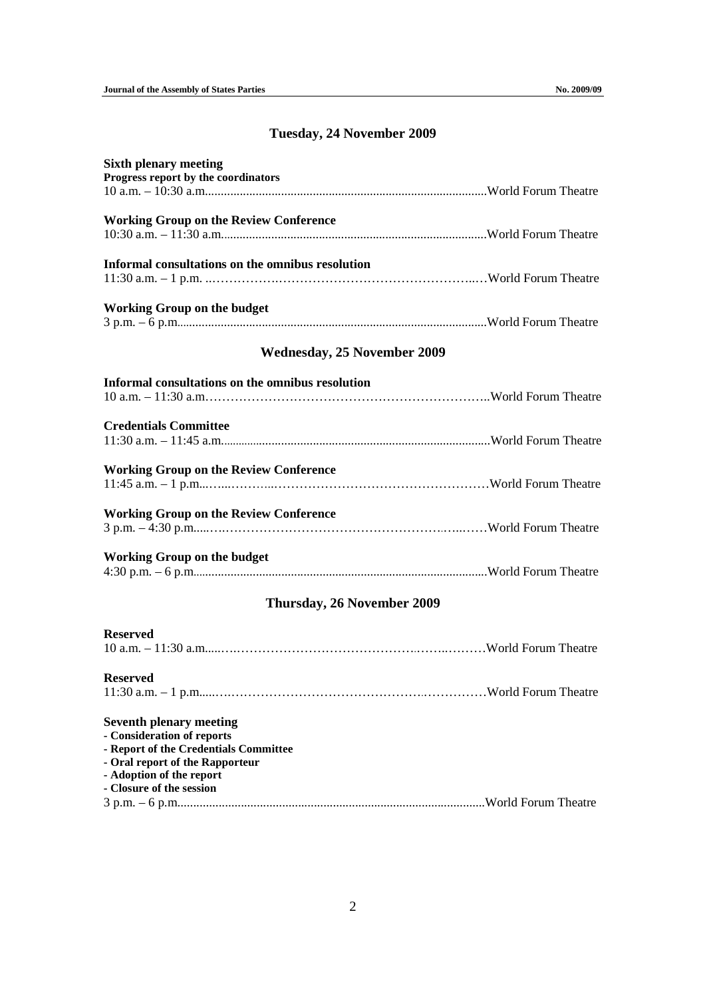# **Tuesday, 24 November 2009**

| <b>Sixth plenary meeting</b><br>Progress report by the coordinators |  |
|---------------------------------------------------------------------|--|
|                                                                     |  |
| <b>Working Group on the Review Conference</b>                       |  |
|                                                                     |  |
| Informal consultations on the omnibus resolution                    |  |
| <b>Working Group on the budget</b>                                  |  |
| <b>Wednesday, 25 November 2009</b>                                  |  |
| Informal consultations on the omnibus resolution                    |  |
|                                                                     |  |
| <b>Credentials Committee</b>                                        |  |
|                                                                     |  |
| <b>Working Group on the Review Conference</b>                       |  |
| <b>Working Group on the Review Conference</b>                       |  |
| <b>Working Group on the budget</b>                                  |  |
|                                                                     |  |
| Thursday, 26 November 2009                                          |  |
| <b>Reserved</b>                                                     |  |
| <b>Reserved</b>                                                     |  |
| <b>Seventh plenary meeting</b>                                      |  |
| - Consideration of reports<br>- Report of the Credentials Committee |  |
| - Oral report of the Rapporteur                                     |  |
| - Adoption of the report<br>- Closure of the session                |  |
|                                                                     |  |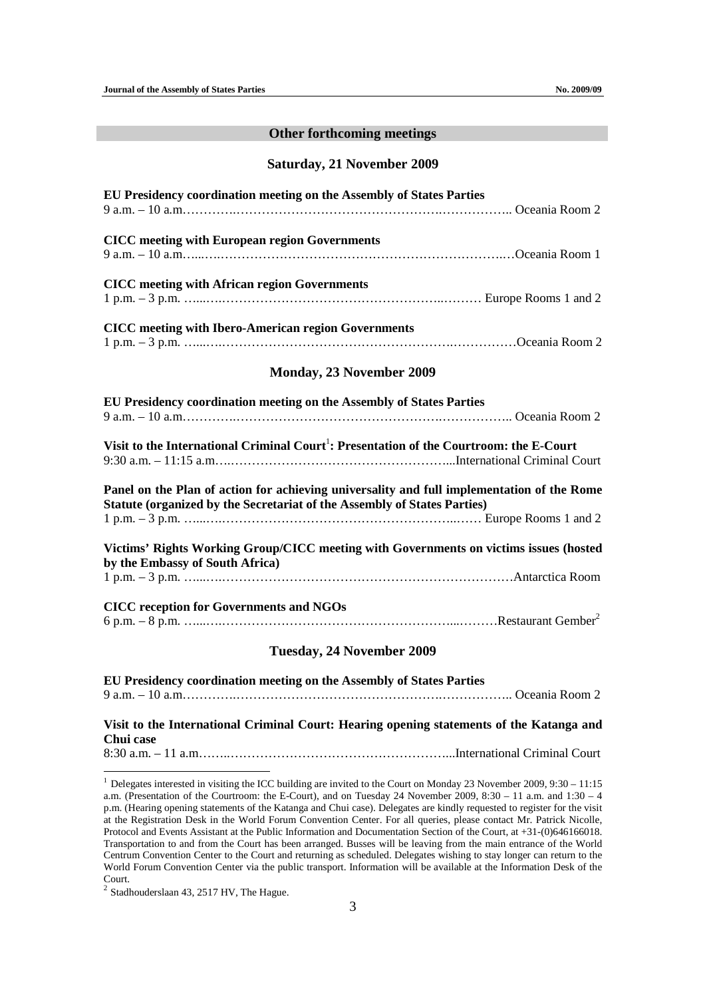#### **Other forthcoming meetings**

#### **Saturday, 21 November 2009**

| EU Presidency coordination meeting on the Assembly of States Parties                                                                                                   |  |  |
|------------------------------------------------------------------------------------------------------------------------------------------------------------------------|--|--|
| <b>CICC</b> meeting with European region Governments                                                                                                                   |  |  |
| <b>CICC</b> meeting with African region Governments                                                                                                                    |  |  |
| <b>CICC</b> meeting with Ibero-American region Governments                                                                                                             |  |  |
| <b>Monday, 23 November 2009</b>                                                                                                                                        |  |  |
| EU Presidency coordination meeting on the Assembly of States Parties                                                                                                   |  |  |
| Visit to the International Criminal Court <sup>1</sup> : Presentation of the Courtroom: the E-Court                                                                    |  |  |
| Panel on the Plan of action for achieving universality and full implementation of the Rome<br>Statute (organized by the Secretariat of the Assembly of States Parties) |  |  |
| Victims' Rights Working Group/CICC meeting with Governments on victims issues (hosted<br>by the Embassy of South Africa)                                               |  |  |
| <b>CICC reception for Governments and NGOs</b>                                                                                                                         |  |  |
| Tuesday, 24 November 2009                                                                                                                                              |  |  |
| EII Dreadeney againstian meeting on the Aggestly of States Darties                                                                                                     |  |  |

| EU Presidency coordination meeting on the Assembly of States Parties |                                                                                          |
|----------------------------------------------------------------------|------------------------------------------------------------------------------------------|
|                                                                      |                                                                                          |
| Chui case                                                            | Visit to the International Criminal Court: Hearing opening statements of the Katanga and |

8:30 a.m. – 11 a.m……..……………………………………………...International Criminal Court

<sup>&</sup>lt;sup>1</sup> Delegates interested in visiting the ICC building are invited to the Court on Monday 23 November 2009, 9:30 – 11:15 a.m. (Presentation of the Courtroom: the E-Court), and on Tuesday 24 November 2009, 8:30 – 11 a.m. and 1:30 – 4 p.m. (Hearing opening statements of the Katanga and Chui case). Delegates are kindly requested to register for the visit at the Registration Desk in the World Forum Convention Center. For all queries, please contact Mr. Patrick Nicolle, Protocol and Events Assistant at the Public Information and Documentation Section of the Court, at +31-(0)646166018. Transportation to and from the Court has been arranged. Busses will be leaving from the main entrance of the World Centrum Convention Center to the Court and returning as scheduled. Delegates wishing to stay longer can return to the World Forum Convention Center via the public transport. Information will be available at the Information Desk of the Court.

 $2$  Stadhouderslaan 43, 2517 HV, The Hague.